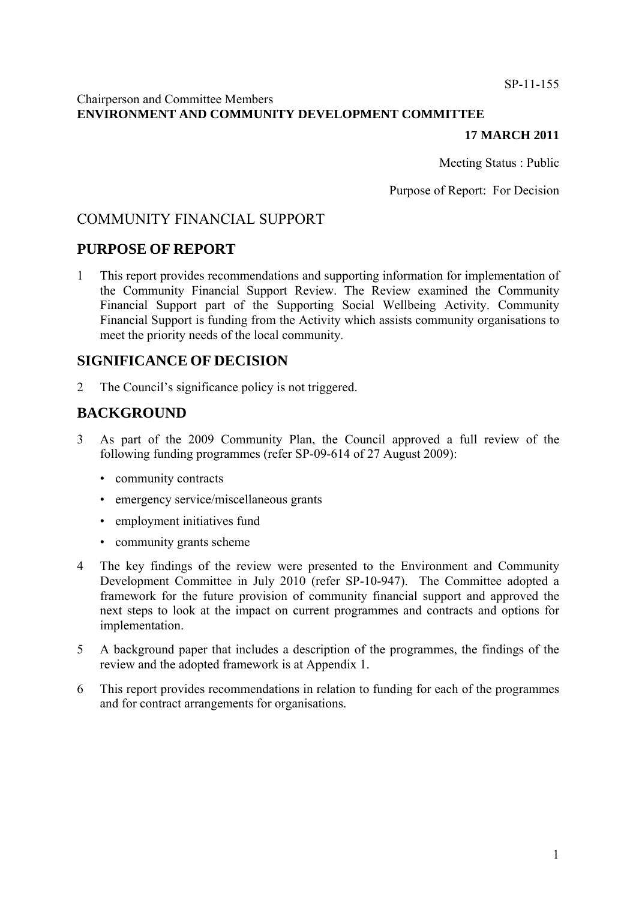#### SP-11-155

### Chairperson and Committee Members **ENVIRONMENT AND COMMUNITY DEVELOPMENT COMMITTEE**

### **17 MARCH 2011**

Meeting Status : Public

Purpose of Report: For Decision

# COMMUNITY FINANCIAL SUPPORT

# **PURPOSE OF REPORT**

1 This report provides recommendations and supporting information for implementation of the Community Financial Support Review. The Review examined the Community Financial Support part of the Supporting Social Wellbeing Activity. Community Financial Support is funding from the Activity which assists community organisations to meet the priority needs of the local community.

# **SIGNIFICANCE OF DECISION**

2 The Council's significance policy is not triggered.

# **BACKGROUND**

- 3 As part of the 2009 Community Plan, the Council approved a full review of the following funding programmes (refer SP-09-614 of 27 August 2009):
	- community contracts
	- emergency service/miscellaneous grants
	- employment initiatives fund
	- community grants scheme
- 4 The key findings of the review were presented to the Environment and Community Development Committee in July 2010 (refer SP-10-947). The Committee adopted a framework for the future provision of community financial support and approved the next steps to look at the impact on current programmes and contracts and options for implementation.
- 5 A background paper that includes a description of the programmes, the findings of the review and the adopted framework is at Appendix 1.
- 6 This report provides recommendations in relation to funding for each of the programmes and for contract arrangements for organisations.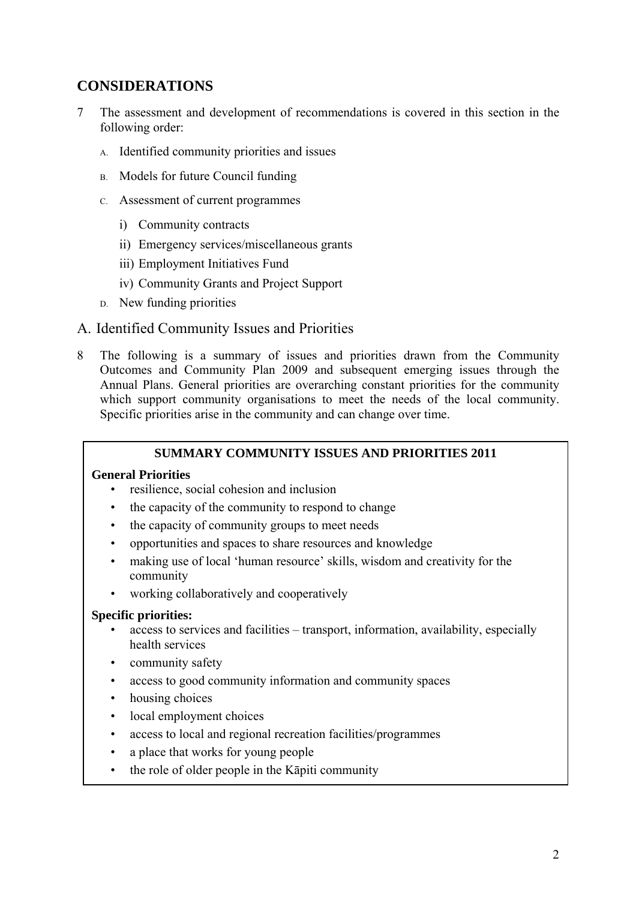# **CONSIDERATIONS**

- 7 The assessment and development of recommendations is covered in this section in the following order:
	- A. Identified community priorities and issues
	- B. Models for future Council funding
	- C. Assessment of current programmes
		- i) Community contracts
		- ii) Emergency services/miscellaneous grants
		- iii) Employment Initiatives Fund
		- iv) Community Grants and Project Support
	- D. New funding priorities

# A. Identified Community Issues and Priorities

8 The following is a summary of issues and priorities drawn from the Community Outcomes and Community Plan 2009 and subsequent emerging issues through the Annual Plans. General priorities are overarching constant priorities for the community which support community organisations to meet the needs of the local community. Specific priorities arise in the community and can change over time.

### **SUMMARY COMMUNITY ISSUES AND PRIORITIES 2011**

### **General Priorities**

- resilience, social cohesion and inclusion
- the capacity of the community to respond to change
- the capacity of community groups to meet needs
- opportunities and spaces to share resources and knowledge
- making use of local 'human resource' skills, wisdom and creativity for the community
- working collaboratively and cooperatively

#### **Specific priorities:**

- access to services and facilities transport, information, availability, especially health services
- community safety
- access to good community information and community spaces
- housing choices
- local employment choices
- access to local and regional recreation facilities/programmes
- a place that works for young people
- the role of older people in the Kāpiti community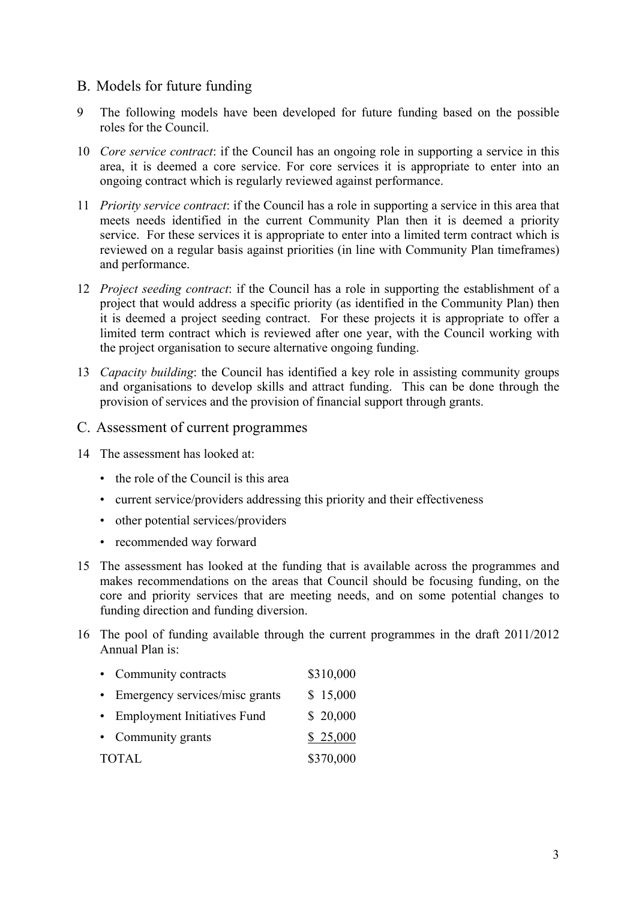# B. Models for future funding

- 9 The following models have been developed for future funding based on the possible roles for the Council.
- 10 *Core service contract*: if the Council has an ongoing role in supporting a service in this area, it is deemed a core service. For core services it is appropriate to enter into an ongoing contract which is regularly reviewed against performance.
- 11 *Priority service contract*: if the Council has a role in supporting a service in this area that meets needs identified in the current Community Plan then it is deemed a priority service. For these services it is appropriate to enter into a limited term contract which is reviewed on a regular basis against priorities (in line with Community Plan timeframes) and performance.
- 12 *Project seeding contract*: if the Council has a role in supporting the establishment of a project that would address a specific priority (as identified in the Community Plan) then it is deemed a project seeding contract. For these projects it is appropriate to offer a limited term contract which is reviewed after one year, with the Council working with the project organisation to secure alternative ongoing funding.
- 13 *Capacity building*: the Council has identified a key role in assisting community groups and organisations to develop skills and attract funding. This can be done through the provision of services and the provision of financial support through grants.
- C. Assessment of current programmes
- 14 The assessment has looked at:
	- the role of the Council is this area
	- current service/providers addressing this priority and their effectiveness
	- other potential services/providers
	- recommended way forward
- 15 The assessment has looked at the funding that is available across the programmes and makes recommendations on the areas that Council should be focusing funding, on the core and priority services that are meeting needs, and on some potential changes to funding direction and funding diversion.
- 16 The pool of funding available through the current programmes in the draft 2011/2012 Annual Plan is:

| • Community contracts            | \$310,000 |
|----------------------------------|-----------|
| • Emergency services/misc grants | \$15,000  |
| • Employment Initiatives Fund    | \$20,000  |
| • Community grants               | \$25,000  |
| <b>TOTAL</b>                     | \$370,000 |
|                                  |           |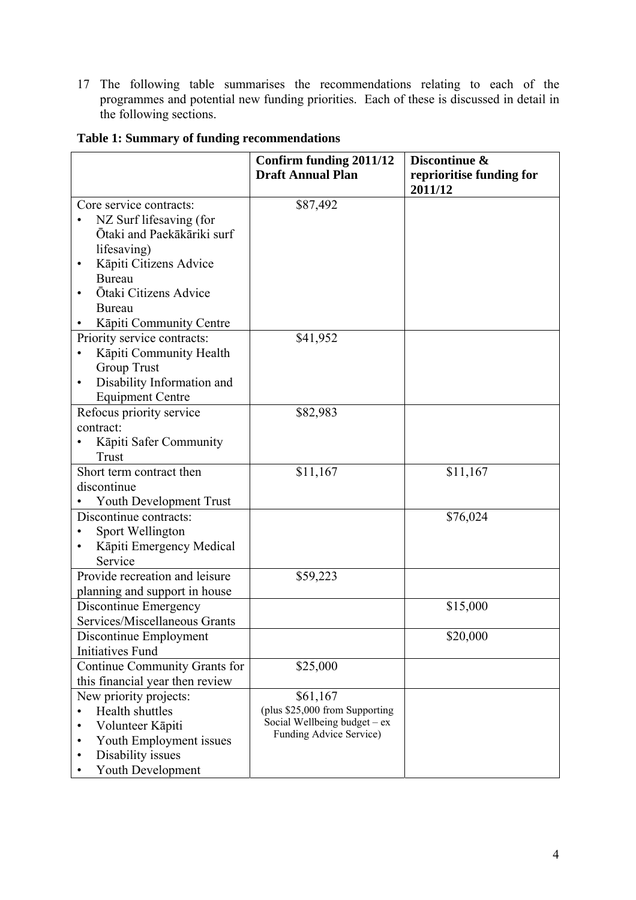17 The following table summarises the recommendations relating to each of the programmes and potential new funding priorities. Each of these is discussed in detail in the following sections.

|                                     | Confirm funding 2011/12<br><b>Draft Annual Plan</b> | Discontinue &<br>reprioritise funding for<br>2011/12 |
|-------------------------------------|-----------------------------------------------------|------------------------------------------------------|
| Core service contracts:             | \$87,492                                            |                                                      |
| NZ Surf lifesaving (for             |                                                     |                                                      |
| Ōtaki and Paekākāriki surf          |                                                     |                                                      |
| lifesaving)                         |                                                     |                                                      |
| Kāpiti Citizens Advice              |                                                     |                                                      |
| <b>Bureau</b>                       |                                                     |                                                      |
| Ōtaki Citizens Advice               |                                                     |                                                      |
| <b>Bureau</b>                       |                                                     |                                                      |
| Kāpiti Community Centre             |                                                     |                                                      |
| Priority service contracts:         | \$41,952                                            |                                                      |
| Kāpiti Community Health             |                                                     |                                                      |
| <b>Group Trust</b>                  |                                                     |                                                      |
| Disability Information and          |                                                     |                                                      |
| <b>Equipment Centre</b>             |                                                     |                                                      |
| Refocus priority service            | \$82,983                                            |                                                      |
| contract:                           |                                                     |                                                      |
| Kāpiti Safer Community              |                                                     |                                                      |
| Trust                               |                                                     |                                                      |
| Short term contract then            | \$11,167                                            | \$11,167                                             |
| discontinue                         |                                                     |                                                      |
| Youth Development Trust             |                                                     |                                                      |
| Discontinue contracts:              |                                                     | \$76,024                                             |
| Sport Wellington                    |                                                     |                                                      |
| Kāpiti Emergency Medical<br>Service |                                                     |                                                      |
| Provide recreation and leisure      | \$59,223                                            |                                                      |
| planning and support in house       |                                                     |                                                      |
| Discontinue Emergency               |                                                     | \$15,000                                             |
| Services/Miscellaneous Grants       |                                                     |                                                      |
| Discontinue Employment              |                                                     | \$20,000                                             |
| <b>Initiatives Fund</b>             |                                                     |                                                      |
| Continue Community Grants for       | \$25,000                                            |                                                      |
| this financial year then review     |                                                     |                                                      |
| New priority projects:              | \$61,167                                            |                                                      |
| Health shuttles                     | (plus \$25,000 from Supporting                      |                                                      |
| Volunteer Kāpiti                    | Social Wellbeing budget – ex                        |                                                      |
| Youth Employment issues<br>٠        | Funding Advice Service)                             |                                                      |
| Disability issues<br>٠              |                                                     |                                                      |
| Youth Development                   |                                                     |                                                      |

# **Table 1: Summary of funding recommendations**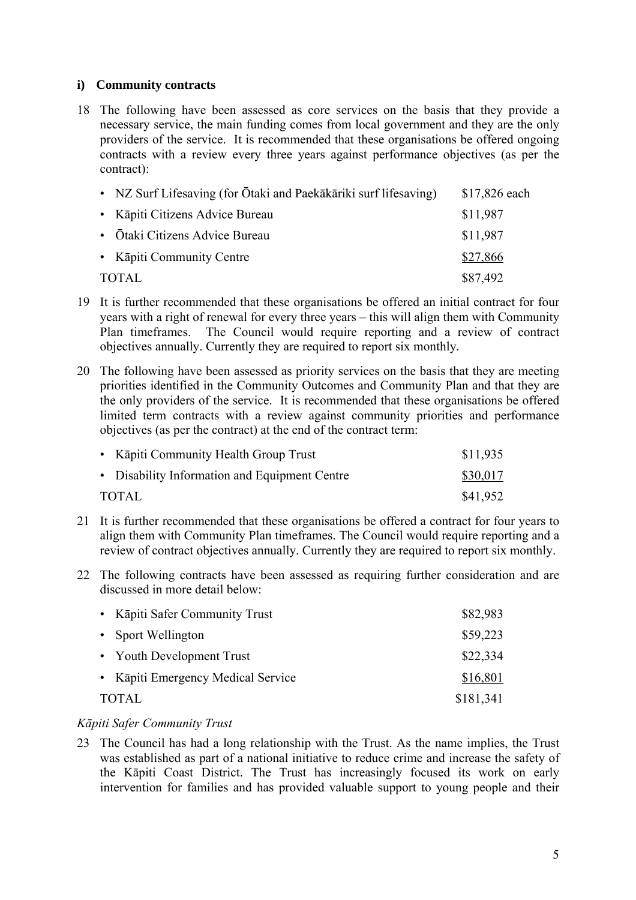### **i) Community contracts**

18 The following have been assessed as core services on the basis that they provide a necessary service, the main funding comes from local government and they are the only providers of the service. It is recommended that these organisations be offered ongoing contracts with a review every three years against performance objectives (as per the contract):

|                           | • NZ Surf Lifesaving (for Ōtaki and Paekākāriki surf lifesaving) | \$17,826 each |
|---------------------------|------------------------------------------------------------------|---------------|
|                           | • Kāpiti Citizens Advice Bureau                                  | \$11,987      |
|                           | • Ōtaki Citizens Advice Bureau                                   | \$11,987      |
| • Kāpiti Community Centre |                                                                  | \$27,866      |
| TOTAL                     |                                                                  | \$87,492      |

- 19 It is further recommended that these organisations be offered an initial contract for four years with a right of renewal for every three years – this will align them with Community Plan timeframes. The Council would require reporting and a review of contract objectives annually. Currently they are required to report six monthly.
- 20 The following have been assessed as priority services on the basis that they are meeting priorities identified in the Community Outcomes and Community Plan and that they are the only providers of the service. It is recommended that these organisations be offered limited term contracts with a review against community priorities and performance objectives (as per the contract) at the end of the contract term:

| • Kāpiti Community Health Group Trust         | \$11,935 |
|-----------------------------------------------|----------|
| • Disability Information and Equipment Centre | \$30,017 |
| TOTAL                                         | \$41,952 |

- 21 It is further recommended that these organisations be offered a contract for four years to align them with Community Plan timeframes. The Council would require reporting and a review of contract objectives annually. Currently they are required to report six monthly.
- 22 The following contracts have been assessed as requiring further consideration and are discussed in more detail below:

| • Kāpiti Safer Community Trust     | \$82,983  |
|------------------------------------|-----------|
| • Sport Wellington                 | \$59,223  |
| • Youth Development Trust          | \$22,334  |
| • Kāpiti Emergency Medical Service | \$16,801  |
| <b>TOTAL</b>                       | \$181,341 |

### *Kāpiti Safer Community Trust*

23 The Council has had a long relationship with the Trust. As the name implies, the Trust was established as part of a national initiative to reduce crime and increase the safety of the Kāpiti Coast District. The Trust has increasingly focused its work on early intervention for families and has provided valuable support to young people and their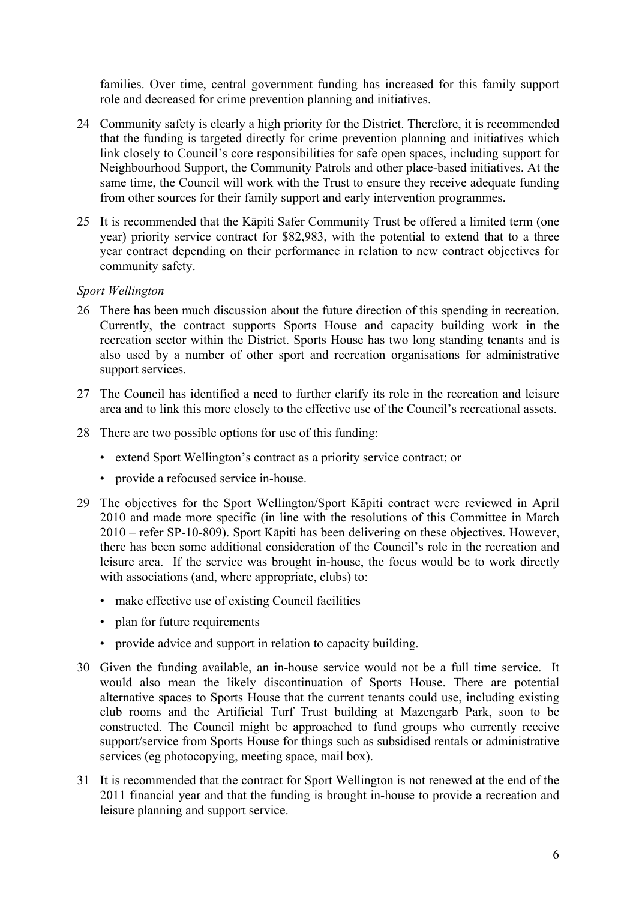families. Over time, central government funding has increased for this family support role and decreased for crime prevention planning and initiatives.

- 24 Community safety is clearly a high priority for the District. Therefore, it is recommended that the funding is targeted directly for crime prevention planning and initiatives which link closely to Council's core responsibilities for safe open spaces, including support for Neighbourhood Support, the Community Patrols and other place-based initiatives. At the same time, the Council will work with the Trust to ensure they receive adequate funding from other sources for their family support and early intervention programmes.
- 25 It is recommended that the Kāpiti Safer Community Trust be offered a limited term (one year) priority service contract for \$82,983, with the potential to extend that to a three year contract depending on their performance in relation to new contract objectives for community safety.

### *Sport Wellington*

- 26 There has been much discussion about the future direction of this spending in recreation. Currently, the contract supports Sports House and capacity building work in the recreation sector within the District. Sports House has two long standing tenants and is also used by a number of other sport and recreation organisations for administrative support services.
- 27 The Council has identified a need to further clarify its role in the recreation and leisure area and to link this more closely to the effective use of the Council's recreational assets.
- 28 There are two possible options for use of this funding:
	- extend Sport Wellington's contract as a priority service contract; or
	- provide a refocused service in-house.
- 29 The objectives for the Sport Wellington/Sport Kāpiti contract were reviewed in April 2010 and made more specific (in line with the resolutions of this Committee in March 2010 – refer SP-10-809). Sport Kāpiti has been delivering on these objectives. However, there has been some additional consideration of the Council's role in the recreation and leisure area. If the service was brought in-house, the focus would be to work directly with associations (and, where appropriate, clubs) to:
	- make effective use of existing Council facilities
	- plan for future requirements
	- provide advice and support in relation to capacity building.
- 30 Given the funding available, an in-house service would not be a full time service. It would also mean the likely discontinuation of Sports House. There are potential alternative spaces to Sports House that the current tenants could use, including existing club rooms and the Artificial Turf Trust building at Mazengarb Park, soon to be constructed. The Council might be approached to fund groups who currently receive support/service from Sports House for things such as subsidised rentals or administrative services (eg photocopying, meeting space, mail box).
- 31 It is recommended that the contract for Sport Wellington is not renewed at the end of the 2011 financial year and that the funding is brought in-house to provide a recreation and leisure planning and support service.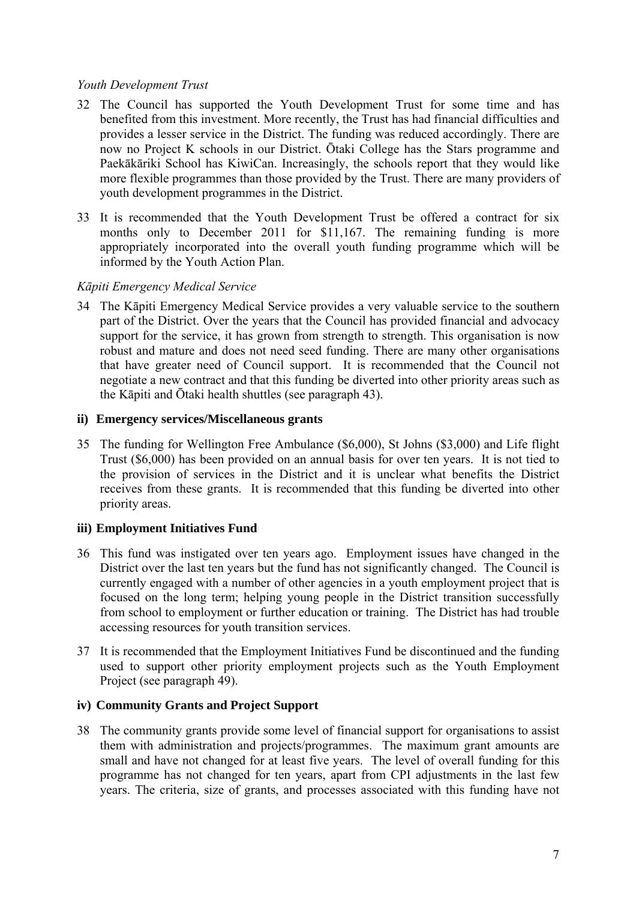### *Youth Development Trust*

- 32 The Council has supported the Youth Development Trust for some time and has benefited from this investment. More recently, the Trust has had financial difficulties and provides a lesser service in the District. The funding was reduced accordingly. There are now no Project K schools in our District. Ōtaki College has the Stars programme and Paekākāriki School has KiwiCan. Increasingly, the schools report that they would like more flexible programmes than those provided by the Trust. There are many providers of youth development programmes in the District.
- 33 It is recommended that the Youth Development Trust be offered a contract for six months only to December 2011 for \$11,167. The remaining funding is more appropriately incorporated into the overall youth funding programme which will be informed by the Youth Action Plan.

### *Kāpiti Emergency Medical Service*

34 The Kāpiti Emergency Medical Service provides a very valuable service to the southern part of the District. Over the years that the Council has provided financial and advocacy support for the service, it has grown from strength to strength. This organisation is now robust and mature and does not need seed funding. There are many other organisations that have greater need of Council support. It is recommended that the Council not negotiate a new contract and that this funding be diverted into other priority areas such as the Kāpiti and Ōtaki health shuttles (see paragraph 43).

#### **ii) Emergency services/Miscellaneous grants**

35 The funding for Wellington Free Ambulance (\$6,000), St Johns (\$3,000) and Life flight Trust (\$6,000) has been provided on an annual basis for over ten years. It is not tied to the provision of services in the District and it is unclear what benefits the District receives from these grants. It is recommended that this funding be diverted into other priority areas.

#### **iii) Employment Initiatives Fund**

- 36 This fund was instigated over ten years ago. Employment issues have changed in the District over the last ten years but the fund has not significantly changed. The Council is currently engaged with a number of other agencies in a youth employment project that is focused on the long term; helping young people in the District transition successfully from school to employment or further education or training. The District has had trouble accessing resources for youth transition services.
- 37 It is recommended that the Employment Initiatives Fund be discontinued and the funding used to support other priority employment projects such as the Youth Employment Project (see paragraph 49).

#### **iv) Community Grants and Project Support**

38 The community grants provide some level of financial support for organisations to assist them with administration and projects/programmes. The maximum grant amounts are small and have not changed for at least five years. The level of overall funding for this programme has not changed for ten years, apart from CPI adjustments in the last few years. The criteria, size of grants, and processes associated with this funding have not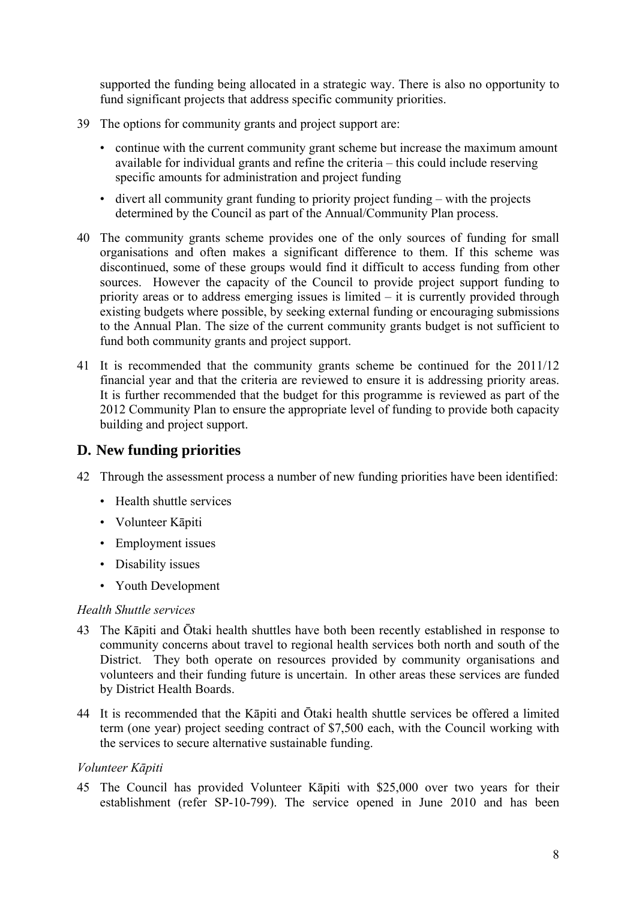supported the funding being allocated in a strategic way. There is also no opportunity to fund significant projects that address specific community priorities.

- 39 The options for community grants and project support are:
	- continue with the current community grant scheme but increase the maximum amount available for individual grants and refine the criteria – this could include reserving specific amounts for administration and project funding
	- divert all community grant funding to priority project funding with the projects determined by the Council as part of the Annual/Community Plan process.
- 40 The community grants scheme provides one of the only sources of funding for small organisations and often makes a significant difference to them. If this scheme was discontinued, some of these groups would find it difficult to access funding from other sources. However the capacity of the Council to provide project support funding to priority areas or to address emerging issues is limited – it is currently provided through existing budgets where possible, by seeking external funding or encouraging submissions to the Annual Plan. The size of the current community grants budget is not sufficient to fund both community grants and project support.
- 41 It is recommended that the community grants scheme be continued for the 2011/12 financial year and that the criteria are reviewed to ensure it is addressing priority areas. It is further recommended that the budget for this programme is reviewed as part of the 2012 Community Plan to ensure the appropriate level of funding to provide both capacity building and project support.

# **D. New funding priorities**

- 42 Through the assessment process a number of new funding priorities have been identified:
	- Health shuttle services
	- Volunteer Kāpiti
	- Employment issues
	- Disability issues
	- Youth Development

#### *Health Shuttle services*

- 43 The Kāpiti and Ōtaki health shuttles have both been recently established in response to community concerns about travel to regional health services both north and south of the District. They both operate on resources provided by community organisations and volunteers and their funding future is uncertain. In other areas these services are funded by District Health Boards.
- 44 It is recommended that the Kāpiti and Ōtaki health shuttle services be offered a limited term (one year) project seeding contract of \$7,500 each, with the Council working with the services to secure alternative sustainable funding.

### *Volunteer Kāpiti*

45 The Council has provided Volunteer Kāpiti with \$25,000 over two years for their establishment (refer SP-10-799). The service opened in June 2010 and has been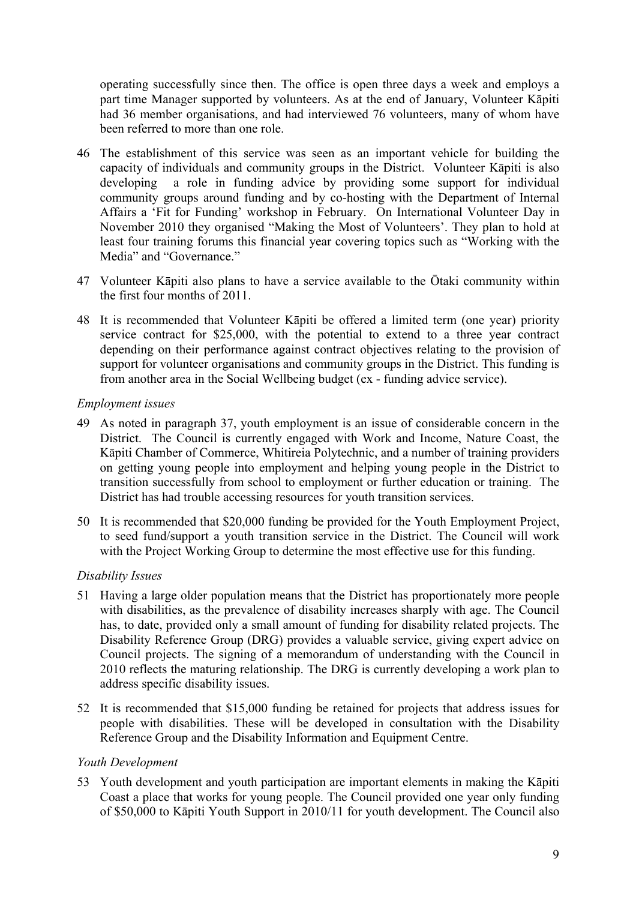operating successfully since then. The office is open three days a week and employs a part time Manager supported by volunteers. As at the end of January, Volunteer Kāpiti had 36 member organisations, and had interviewed 76 volunteers, many of whom have been referred to more than one role.

- 46 The establishment of this service was seen as an important vehicle for building the capacity of individuals and community groups in the District. Volunteer Kāpiti is also developing a role in funding advice by providing some support for individual community groups around funding and by co-hosting with the Department of Internal Affairs a 'Fit for Funding' workshop in February. On International Volunteer Day in November 2010 they organised "Making the Most of Volunteers'. They plan to hold at least four training forums this financial year covering topics such as "Working with the Media" and "Governance."
- 47 Volunteer Kāpiti also plans to have a service available to the Ōtaki community within the first four months of 2011.
- 48 It is recommended that Volunteer Kāpiti be offered a limited term (one year) priority service contract for \$25,000, with the potential to extend to a three year contract depending on their performance against contract objectives relating to the provision of support for volunteer organisations and community groups in the District. This funding is from another area in the Social Wellbeing budget (ex - funding advice service).

### *Employment issues*

- 49 As noted in paragraph 37, youth employment is an issue of considerable concern in the District. The Council is currently engaged with Work and Income, Nature Coast, the Kāpiti Chamber of Commerce, Whitireia Polytechnic, and a number of training providers on getting young people into employment and helping young people in the District to transition successfully from school to employment or further education or training. The District has had trouble accessing resources for youth transition services.
- 50 It is recommended that \$20,000 funding be provided for the Youth Employment Project, to seed fund/support a youth transition service in the District. The Council will work with the Project Working Group to determine the most effective use for this funding.

#### *Disability Issues*

- 51 Having a large older population means that the District has proportionately more people with disabilities, as the prevalence of disability increases sharply with age. The Council has, to date, provided only a small amount of funding for disability related projects. The Disability Reference Group (DRG) provides a valuable service, giving expert advice on Council projects. The signing of a memorandum of understanding with the Council in 2010 reflects the maturing relationship. The DRG is currently developing a work plan to address specific disability issues.
- 52 It is recommended that \$15,000 funding be retained for projects that address issues for people with disabilities. These will be developed in consultation with the Disability Reference Group and the Disability Information and Equipment Centre.

### *Youth Development*

53 Youth development and youth participation are important elements in making the Kāpiti Coast a place that works for young people. The Council provided one year only funding of \$50,000 to Kāpiti Youth Support in 2010/11 for youth development. The Council also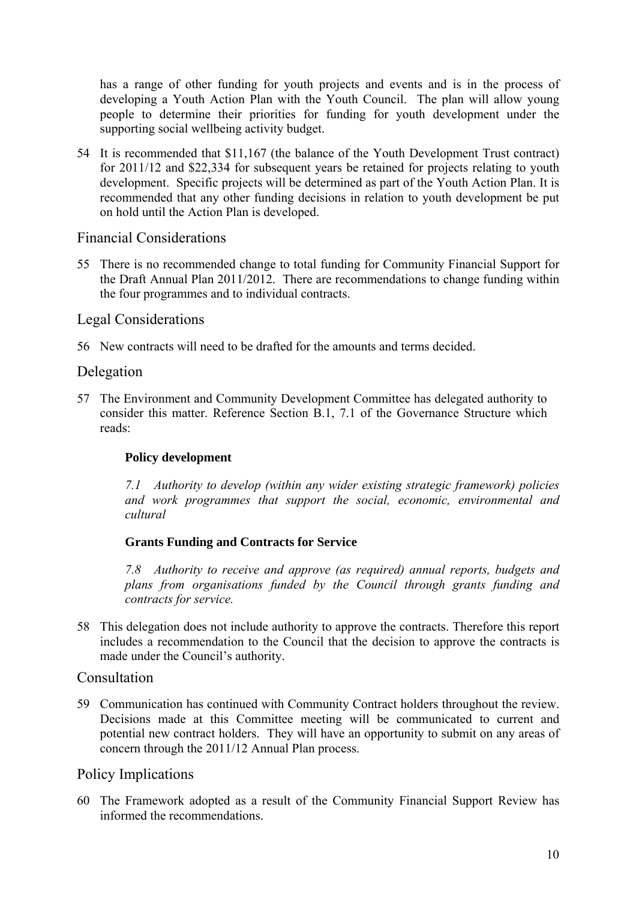has a range of other funding for youth projects and events and is in the process of developing a Youth Action Plan with the Youth Council. The plan will allow young people to determine their priorities for funding for youth development under the supporting social wellbeing activity budget.

54 It is recommended that \$11,167 (the balance of the Youth Development Trust contract) for 2011/12 and \$22,334 for subsequent years be retained for projects relating to youth development. Specific projects will be determined as part of the Youth Action Plan. It is recommended that any other funding decisions in relation to youth development be put on hold until the Action Plan is developed.

# Financial Considerations

55 There is no recommended change to total funding for Community Financial Support for the Draft Annual Plan 2011/2012. There are recommendations to change funding within the four programmes and to individual contracts.

# Legal Considerations

56 New contracts will need to be drafted for the amounts and terms decided.

# Delegation

57 The Environment and Community Development Committee has delegated authority to consider this matter. Reference Section B.1, 7.1 of the Governance Structure which reads:

### **Policy development**

*7.1 Authority to develop (within any wider existing strategic framework) policies and work programmes that support the social, economic, environmental and cultural* 

### **Grants Funding and Contracts for Service**

*7.8 Authority to receive and approve (as required) annual reports, budgets and plans from organisations funded by the Council through grants funding and contracts for service.* 

58 This delegation does not include authority to approve the contracts. Therefore this report includes a recommendation to the Council that the decision to approve the contracts is made under the Council's authority.

### Consultation

59 Communication has continued with Community Contract holders throughout the review. Decisions made at this Committee meeting will be communicated to current and potential new contract holders. They will have an opportunity to submit on any areas of concern through the 2011/12 Annual Plan process.

# Policy Implications

60 The Framework adopted as a result of the Community Financial Support Review has informed the recommendations.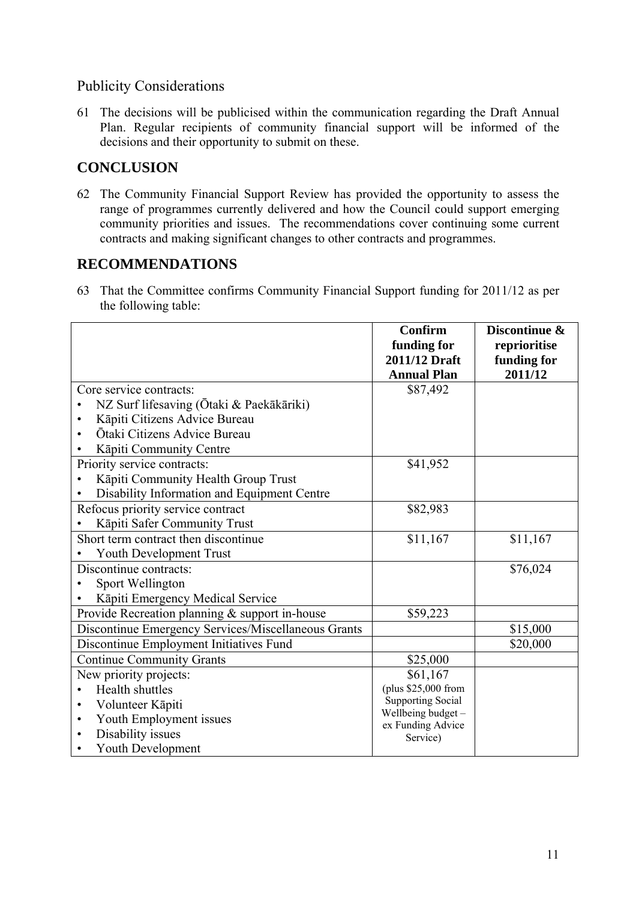# Publicity Considerations

61 The decisions will be publicised within the communication regarding the Draft Annual Plan. Regular recipients of community financial support will be informed of the decisions and their opportunity to submit on these.

# **CONCLUSION**

62 The Community Financial Support Review has provided the opportunity to assess the range of programmes currently delivered and how the Council could support emerging community priorities and issues. The recommendations cover continuing some current contracts and making significant changes to other contracts and programmes.

# **RECOMMENDATIONS**

63 That the Committee confirms Community Financial Support funding for 2011/12 as per the following table:

|                                                            | <b>Confirm</b>                          | Discontinue & |  |  |
|------------------------------------------------------------|-----------------------------------------|---------------|--|--|
|                                                            | funding for                             | reprioritise  |  |  |
|                                                            | 2011/12 Draft                           | funding for   |  |  |
|                                                            | <b>Annual Plan</b>                      | 2011/12       |  |  |
| Core service contracts:                                    | \$87,492                                |               |  |  |
| NZ Surf lifesaving (Ōtaki & Paekākāriki)                   |                                         |               |  |  |
| Kāpiti Citizens Advice Bureau                              |                                         |               |  |  |
| Ōtaki Citizens Advice Bureau                               |                                         |               |  |  |
| Kāpiti Community Centre                                    |                                         |               |  |  |
| Priority service contracts:                                | \$41,952                                |               |  |  |
| Kāpiti Community Health Group Trust                        |                                         |               |  |  |
| Disability Information and Equipment Centre                |                                         |               |  |  |
| Refocus priority service contract                          | \$82,983                                |               |  |  |
| Kāpiti Safer Community Trust                               |                                         |               |  |  |
| Short term contract then discontinue                       | \$11,167                                | \$11,167      |  |  |
| <b>Youth Development Trust</b>                             |                                         |               |  |  |
| Discontinue contracts:                                     |                                         | \$76,024      |  |  |
| Sport Wellington                                           |                                         |               |  |  |
| Kāpiti Emergency Medical Service                           |                                         |               |  |  |
| Provide Recreation planning & support in-house<br>\$59,223 |                                         |               |  |  |
| Discontinue Emergency Services/Miscellaneous Grants        |                                         | \$15,000      |  |  |
| Discontinue Employment Initiatives Fund                    |                                         | \$20,000      |  |  |
| <b>Continue Community Grants</b>                           | \$25,000                                |               |  |  |
| New priority projects:                                     | \$61,167                                |               |  |  |
| <b>Health shuttles</b>                                     | (plus \$25,000 from                     |               |  |  |
| Volunteer Kāpiti<br>٠                                      | <b>Supporting Social</b>                |               |  |  |
| Youth Employment issues<br>٠                               | Wellbeing budget -<br>ex Funding Advice |               |  |  |
| Disability issues                                          | Service)                                |               |  |  |
| Youth Development                                          |                                         |               |  |  |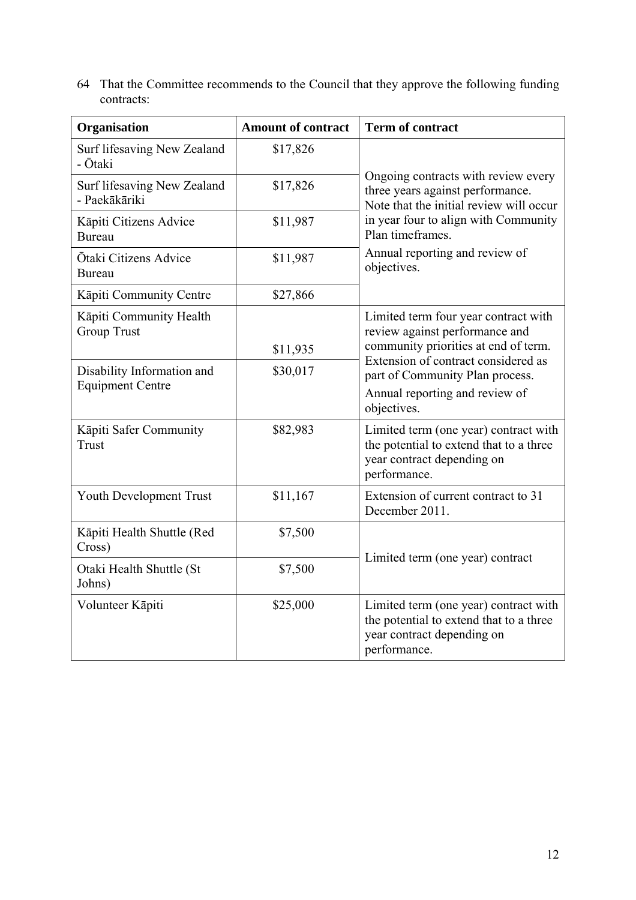64 That the Committee recommends to the Council that they approve the following funding contracts:

| Organisation                                          | <b>Amount of contract</b> | <b>Term of contract</b>                                                                                                        |  |
|-------------------------------------------------------|---------------------------|--------------------------------------------------------------------------------------------------------------------------------|--|
| Surf lifesaving New Zealand<br>- Ōtaki                | \$17,826                  |                                                                                                                                |  |
| Surf lifesaving New Zealand<br>- Paekākāriki          | \$17,826                  | Ongoing contracts with review every<br>three years against performance.<br>Note that the initial review will occur             |  |
| Kāpiti Citizens Advice<br><b>Bureau</b>               | \$11,987                  | in year four to align with Community<br>Plan timeframes                                                                        |  |
| Ōtaki Citizens Advice<br>Bureau                       | \$11,987                  | Annual reporting and review of<br>objectives.                                                                                  |  |
| Kāpiti Community Centre                               | \$27,866                  |                                                                                                                                |  |
| Kāpiti Community Health<br><b>Group Trust</b>         |                           | Limited term four year contract with<br>review against performance and                                                         |  |
|                                                       | \$11,935                  | community priorities at end of term.<br>Extension of contract considered as                                                    |  |
| Disability Information and<br><b>Equipment Centre</b> | \$30,017                  | part of Community Plan process.<br>Annual reporting and review of<br>objectives.                                               |  |
| Kāpiti Safer Community<br>Trust                       | \$82,983                  | Limited term (one year) contract with<br>the potential to extend that to a three<br>year contract depending on<br>performance. |  |
| Youth Development Trust                               | \$11,167                  | Extension of current contract to 31<br>December 2011.                                                                          |  |
| Kāpiti Health Shuttle (Red<br>Cross)                  | \$7,500                   |                                                                                                                                |  |
| Otaki Health Shuttle (St<br>Johns)                    | \$7,500                   | Limited term (one year) contract                                                                                               |  |
| Volunteer Kāpiti                                      | \$25,000                  | Limited term (one year) contract with<br>the potential to extend that to a three<br>year contract depending on<br>performance. |  |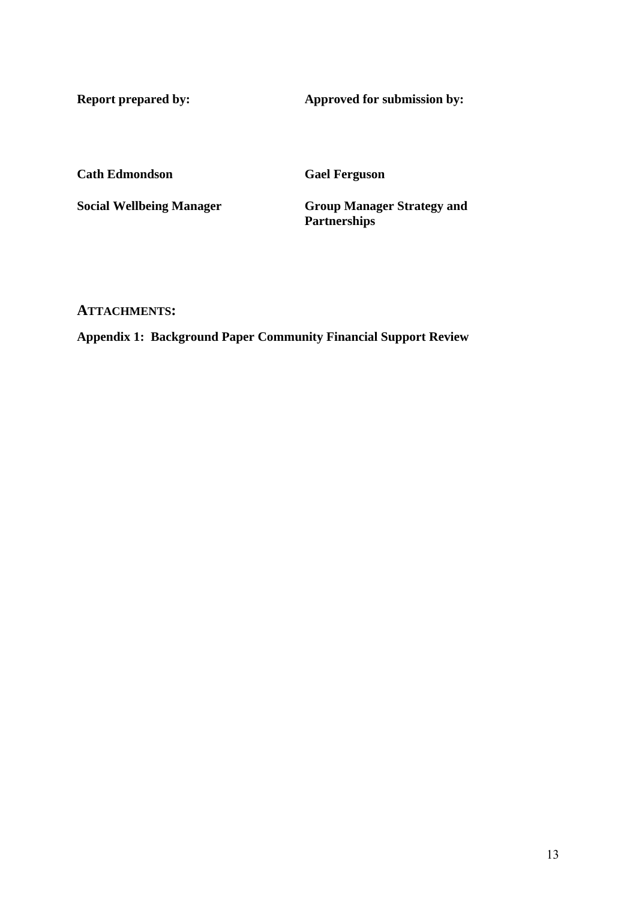**Report prepared by:** Approved for submission by:

**Cath Edmondson Gael Ferguson** 

**Social Wellbeing Manager Group Manager Strategy and Partnerships** 

### **ATTACHMENTS:**

**Appendix 1: Background Paper Community Financial Support Review**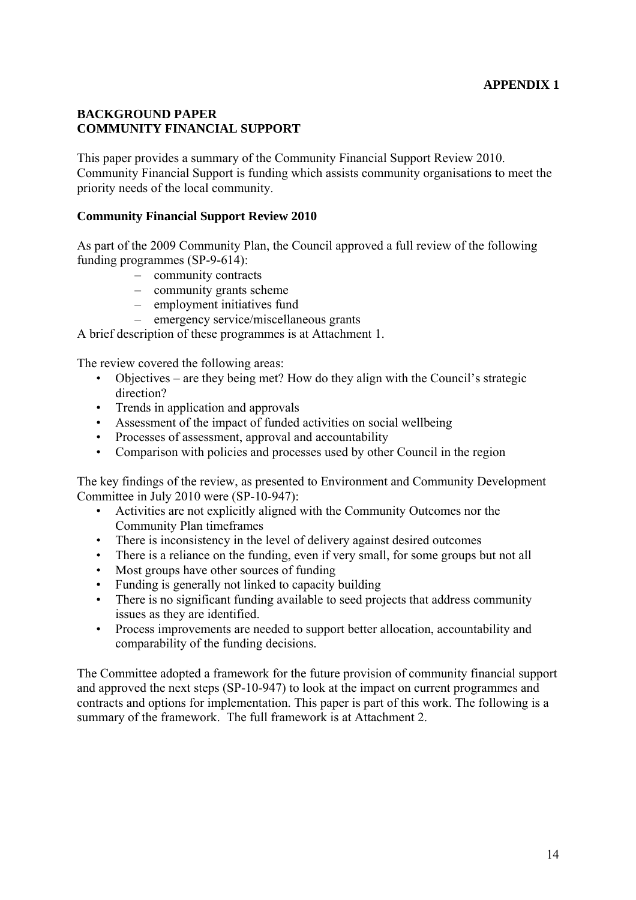### **BACKGROUND PAPER COMMUNITY FINANCIAL SUPPORT**

This paper provides a summary of the Community Financial Support Review 2010. Community Financial Support is funding which assists community organisations to meet the priority needs of the local community.

### **Community Financial Support Review 2010**

As part of the 2009 Community Plan, the Council approved a full review of the following funding programmes (SP-9-614):

- community contracts
- community grants scheme
- employment initiatives fund
- emergency service/miscellaneous grants

A brief description of these programmes is at Attachment 1.

The review covered the following areas:

- Objectives are they being met? How do they align with the Council's strategic direction?
- Trends in application and approvals
- Assessment of the impact of funded activities on social wellbeing
- Processes of assessment, approval and accountability
- Comparison with policies and processes used by other Council in the region

The key findings of the review, as presented to Environment and Community Development Committee in July 2010 were (SP-10-947):

- Activities are not explicitly aligned with the Community Outcomes nor the Community Plan timeframes
- There is inconsistency in the level of delivery against desired outcomes
- There is a reliance on the funding, even if very small, for some groups but not all
- Most groups have other sources of funding
- Funding is generally not linked to capacity building
- There is no significant funding available to seed projects that address community issues as they are identified.
- Process improvements are needed to support better allocation, accountability and comparability of the funding decisions.

The Committee adopted a framework for the future provision of community financial support and approved the next steps (SP-10-947) to look at the impact on current programmes and contracts and options for implementation. This paper is part of this work. The following is a summary of the framework. The full framework is at Attachment 2.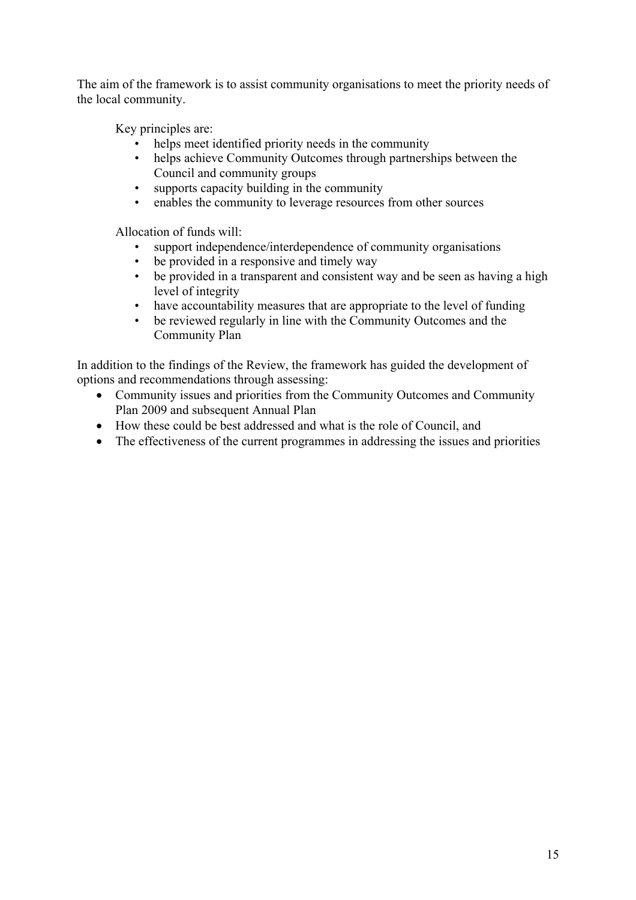The aim of the framework is to assist community organisations to meet the priority needs of the local community.

Key principles are:

- helps meet identified priority needs in the community
- helps achieve Community Outcomes through partnerships between the Council and community groups
- supports capacity building in the community
- enables the community to leverage resources from other sources

Allocation of funds will:

- support independence/interdependence of community organisations
- be provided in a responsive and timely way
- be provided in a transparent and consistent way and be seen as having a high level of integrity
- have accountability measures that are appropriate to the level of funding
- be reviewed regularly in line with the Community Outcomes and the Community Plan

In addition to the findings of the Review, the framework has guided the development of options and recommendations through assessing:

- Community issues and priorities from the Community Outcomes and Community Plan 2009 and subsequent Annual Plan
- How these could be best addressed and what is the role of Council, and
- The effectiveness of the current programmes in addressing the issues and priorities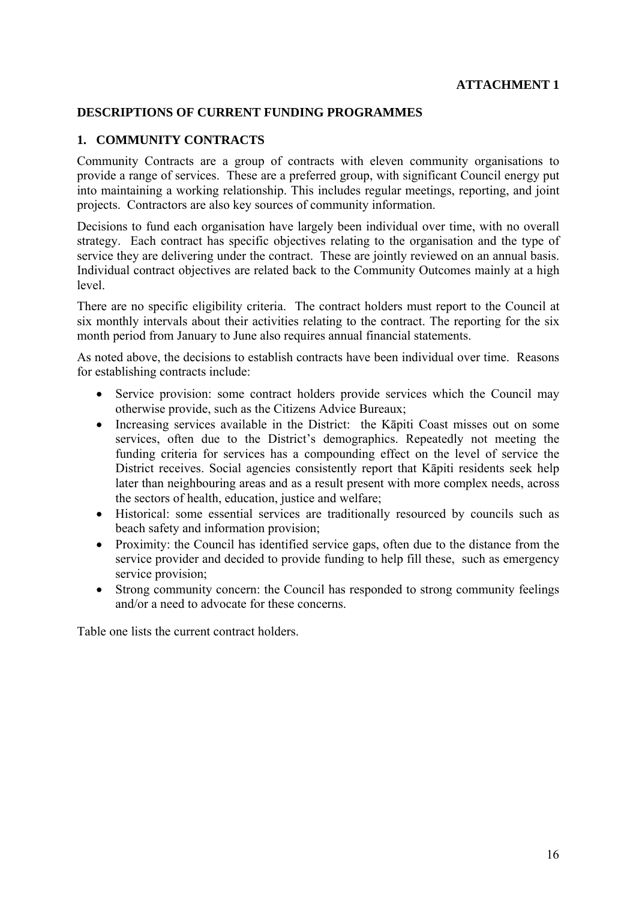### **DESCRIPTIONS OF CURRENT FUNDING PROGRAMMES**

#### **1. COMMUNITY CONTRACTS**

Community Contracts are a group of contracts with eleven community organisations to provide a range of services. These are a preferred group, with significant Council energy put into maintaining a working relationship. This includes regular meetings, reporting, and joint projects. Contractors are also key sources of community information.

Decisions to fund each organisation have largely been individual over time, with no overall strategy. Each contract has specific objectives relating to the organisation and the type of service they are delivering under the contract. These are jointly reviewed on an annual basis. Individual contract objectives are related back to the Community Outcomes mainly at a high level.

There are no specific eligibility criteria. The contract holders must report to the Council at six monthly intervals about their activities relating to the contract. The reporting for the six month period from January to June also requires annual financial statements.

As noted above, the decisions to establish contracts have been individual over time. Reasons for establishing contracts include:

- Service provision: some contract holders provide services which the Council may otherwise provide, such as the Citizens Advice Bureaux;
- Increasing services available in the District: the Kāpiti Coast misses out on some services, often due to the District's demographics. Repeatedly not meeting the funding criteria for services has a compounding effect on the level of service the District receives. Social agencies consistently report that Kāpiti residents seek help later than neighbouring areas and as a result present with more complex needs, across the sectors of health, education, justice and welfare;
- Historical: some essential services are traditionally resourced by councils such as beach safety and information provision;
- Proximity: the Council has identified service gaps, often due to the distance from the service provider and decided to provide funding to help fill these, such as emergency service provision;
- Strong community concern: the Council has responded to strong community feelings and/or a need to advocate for these concerns.

Table one lists the current contract holders.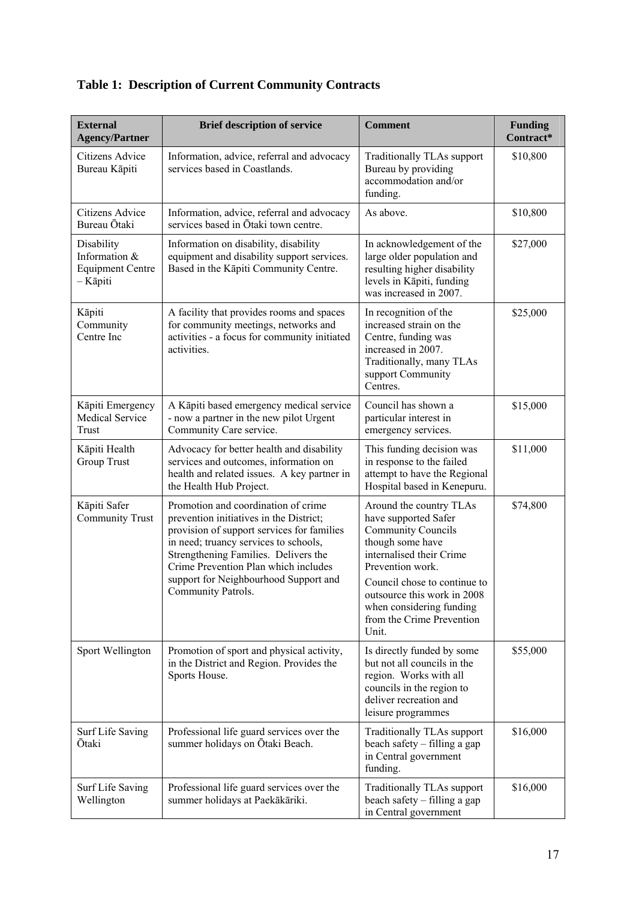| <b>External</b><br><b>Agency/Partner</b>                           | <b>Brief description of service</b>                                                                                                                                                                                                                   | <b>Comment</b>                                                                                                                                                   | <b>Funding</b><br>Contract* |
|--------------------------------------------------------------------|-------------------------------------------------------------------------------------------------------------------------------------------------------------------------------------------------------------------------------------------------------|------------------------------------------------------------------------------------------------------------------------------------------------------------------|-----------------------------|
| Citizens Advice<br>Bureau Kāpiti                                   | Information, advice, referral and advocacy<br>services based in Coastlands.                                                                                                                                                                           | Traditionally TLAs support<br>Bureau by providing<br>accommodation and/or<br>funding.                                                                            | \$10,800                    |
| Citizens Advice<br>Bureau Ōtaki                                    | Information, advice, referral and advocacy<br>services based in Otaki town centre.                                                                                                                                                                    | As above.                                                                                                                                                        | \$10,800                    |
| Disability<br>Information &<br><b>Equipment Centre</b><br>- Kāpiti | Information on disability, disability<br>equipment and disability support services.<br>Based in the Kāpiti Community Centre.                                                                                                                          | In acknowledgement of the<br>large older population and<br>resulting higher disability<br>levels in Kāpiti, funding<br>was increased in 2007.                    | \$27,000                    |
| Kāpiti<br>Community<br>Centre Inc                                  | A facility that provides rooms and spaces<br>for community meetings, networks and<br>activities - a focus for community initiated<br>activities.                                                                                                      | In recognition of the<br>increased strain on the<br>Centre, funding was<br>increased in 2007.<br>Traditionally, many TLAs<br>support Community<br>Centres.       | \$25,000                    |
| Kāpiti Emergency<br><b>Medical Service</b><br>Trust                | A Kāpiti based emergency medical service<br>- now a partner in the new pilot Urgent<br>Community Care service.                                                                                                                                        | Council has shown a<br>particular interest in<br>emergency services.                                                                                             | \$15,000                    |
| Kāpiti Health<br><b>Group Trust</b>                                | Advocacy for better health and disability<br>services and outcomes, information on<br>health and related issues. A key partner in<br>the Health Hub Project.                                                                                          | This funding decision was<br>in response to the failed<br>attempt to have the Regional<br>Hospital based in Kenepuru.                                            | \$11,000                    |
| Kāpiti Safer<br><b>Community Trust</b>                             | Promotion and coordination of crime<br>prevention initiatives in the District;<br>provision of support services for families<br>in need; truancy services to schools,<br>Strengthening Families. Delivers the<br>Crime Prevention Plan which includes | Around the country TLAs<br>have supported Safer<br><b>Community Councils</b><br>though some have<br>internalised their Crime<br>Prevention work.                 | \$74,800                    |
|                                                                    | support for Neighbourhood Support and<br>Community Patrols.                                                                                                                                                                                           | Council chose to continue to<br>outsource this work in 2008<br>when considering funding<br>from the Crime Prevention<br>Unit.                                    |                             |
| Sport Wellington                                                   | Promotion of sport and physical activity,<br>in the District and Region. Provides the<br>Sports House.                                                                                                                                                | Is directly funded by some<br>but not all councils in the<br>region. Works with all<br>councils in the region to<br>deliver recreation and<br>leisure programmes | \$55,000                    |
| Surf Life Saving<br>Otaki                                          | Professional life guard services over the<br>summer holidays on Ōtaki Beach.                                                                                                                                                                          | Traditionally TLAs support<br>beach safety – filling a gap<br>in Central government<br>funding.                                                                  | \$16,000                    |
| <b>Surf Life Saving</b><br>Wellington                              | Professional life guard services over the<br>summer holidays at Paekākāriki.                                                                                                                                                                          | <b>Traditionally TLAs support</b><br>beach safety – filling a gap<br>in Central government                                                                       | \$16,000                    |

# **Table 1: Description of Current Community Contracts**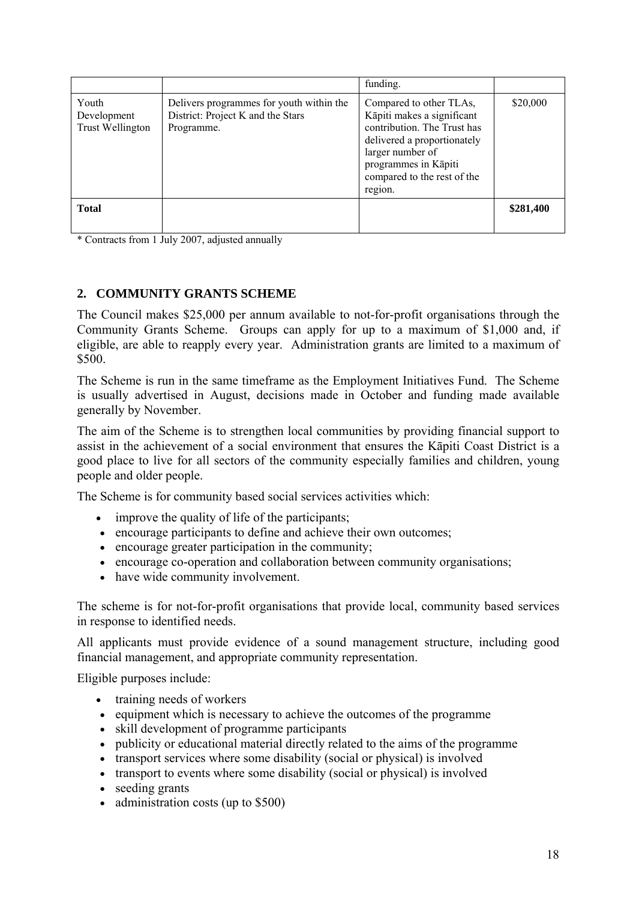|                                                                                             | funding.                                                                                                                                                                                                  |           |
|---------------------------------------------------------------------------------------------|-----------------------------------------------------------------------------------------------------------------------------------------------------------------------------------------------------------|-----------|
| Delivers programmes for youth within the<br>District: Project K and the Stars<br>Programme. | Compared to other TLAs,<br>Kāpiti makes a significant<br>contribution. The Trust has<br>delivered a proportionately<br>larger number of<br>programmes in Kāpiti<br>compared to the rest of the<br>region. | \$20,000  |
|                                                                                             |                                                                                                                                                                                                           | \$281,400 |
|                                                                                             |                                                                                                                                                                                                           |           |

\* Contracts from 1 July 2007, adjusted annually

# **2. COMMUNITY GRANTS SCHEME**

The Council makes \$25,000 per annum available to not-for-profit organisations through the Community Grants Scheme. Groups can apply for up to a maximum of \$1,000 and, if eligible, are able to reapply every year. Administration grants are limited to a maximum of \$500.

The Scheme is run in the same timeframe as the Employment Initiatives Fund. The Scheme is usually advertised in August, decisions made in October and funding made available generally by November.

The aim of the Scheme is to strengthen local communities by providing financial support to assist in the achievement of a social environment that ensures the Kāpiti Coast District is a good place to live for all sectors of the community especially families and children, young people and older people.

The Scheme is for community based social services activities which:

- improve the quality of life of the participants;
- encourage participants to define and achieve their own outcomes;
- encourage greater participation in the community;
- encourage co-operation and collaboration between community organisations;
- have wide community involvement.

The scheme is for not-for-profit organisations that provide local, community based services in response to identified needs.

All applicants must provide evidence of a sound management structure, including good financial management, and appropriate community representation.

Eligible purposes include:

- training needs of workers
- equipment which is necessary to achieve the outcomes of the programme
- skill development of programme participants
- publicity or educational material directly related to the aims of the programme
- transport services where some disability (social or physical) is involved
- transport to events where some disability (social or physical) is involved
- seeding grants
- administration costs (up to \$500)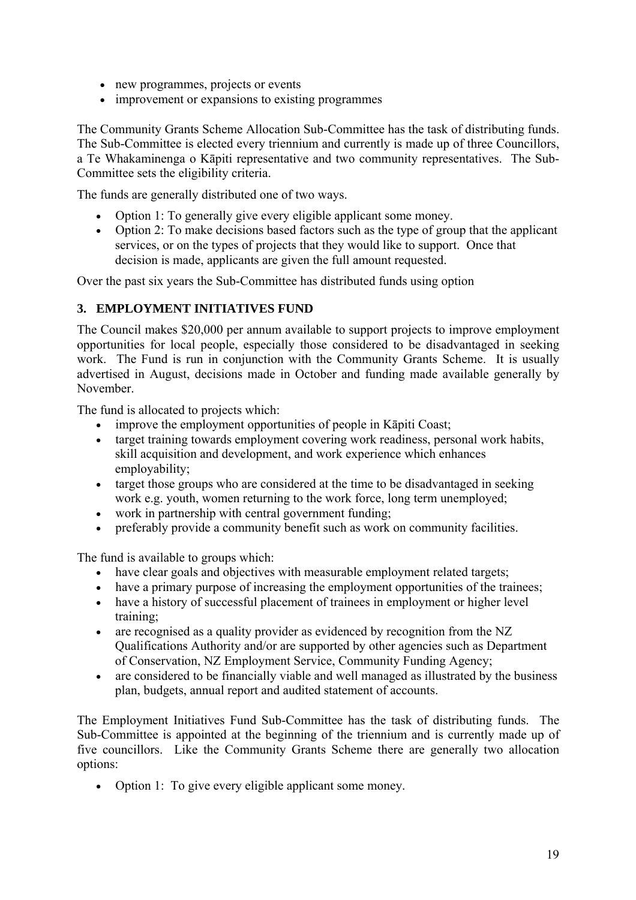- new programmes, projects or events
- improvement or expansions to existing programmes

The Community Grants Scheme Allocation Sub-Committee has the task of distributing funds. The Sub-Committee is elected every triennium and currently is made up of three Councillors, a Te Whakaminenga o Kāpiti representative and two community representatives. The Sub-Committee sets the eligibility criteria.

The funds are generally distributed one of two ways.

- Option 1: To generally give every eligible applicant some money.
- Option 2: To make decisions based factors such as the type of group that the applicant services, or on the types of projects that they would like to support. Once that decision is made, applicants are given the full amount requested.

Over the past six years the Sub-Committee has distributed funds using option

# **3. EMPLOYMENT INITIATIVES FUND**

The Council makes \$20,000 per annum available to support projects to improve employment opportunities for local people, especially those considered to be disadvantaged in seeking work. The Fund is run in conjunction with the Community Grants Scheme. It is usually advertised in August, decisions made in October and funding made available generally by November.

The fund is allocated to projects which:

- improve the employment opportunities of people in Kāpiti Coast;
- target training towards employment covering work readiness, personal work habits, skill acquisition and development, and work experience which enhances employability;
- target those groups who are considered at the time to be disadvantaged in seeking work e.g. youth, women returning to the work force, long term unemployed;
- work in partnership with central government funding;
- preferably provide a community benefit such as work on community facilities.

The fund is available to groups which:

- have clear goals and objectives with measurable employment related targets;
- have a primary purpose of increasing the employment opportunities of the trainees;
- have a history of successful placement of trainees in employment or higher level training;
- are recognised as a quality provider as evidenced by recognition from the NZ Qualifications Authority and/or are supported by other agencies such as Department of Conservation, NZ Employment Service, Community Funding Agency;
- are considered to be financially viable and well managed as illustrated by the business plan, budgets, annual report and audited statement of accounts.

The Employment Initiatives Fund Sub-Committee has the task of distributing funds. The Sub-Committee is appointed at the beginning of the triennium and is currently made up of five councillors. Like the Community Grants Scheme there are generally two allocation options:

• Option 1: To give every eligible applicant some money.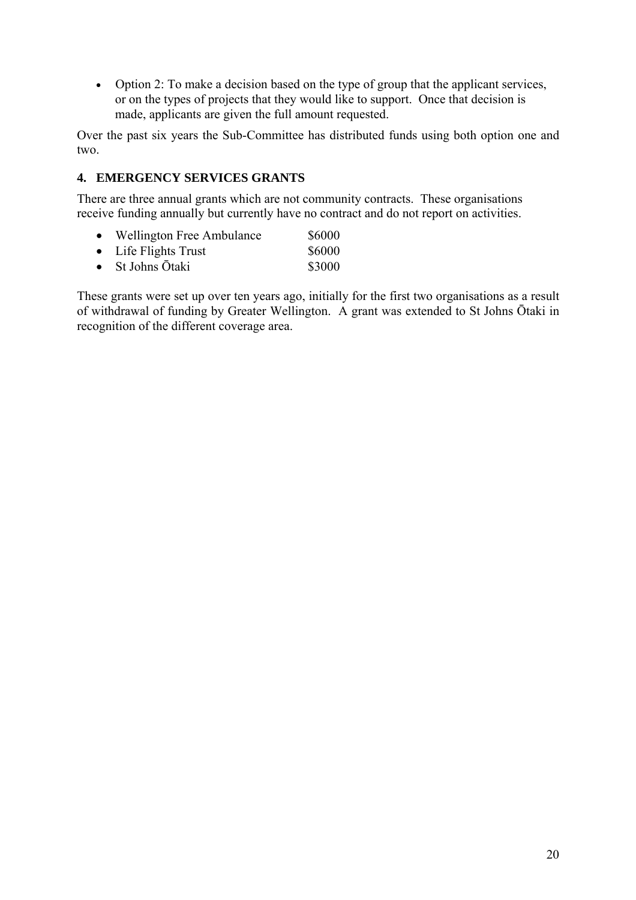• Option 2: To make a decision based on the type of group that the applicant services, or on the types of projects that they would like to support. Once that decision is made, applicants are given the full amount requested.

Over the past six years the Sub-Committee has distributed funds using both option one and two.

# **4. EMERGENCY SERVICES GRANTS**

There are three annual grants which are not community contracts. These organisations receive funding annually but currently have no contract and do not report on activities.

- Wellington Free Ambulance \$6000
- Life Flights Trust \$6000
- St Johns  $\bar{O}$ taki  $$3000$

These grants were set up over ten years ago, initially for the first two organisations as a result of withdrawal of funding by Greater Wellington. A grant was extended to St Johns Ōtaki in recognition of the different coverage area.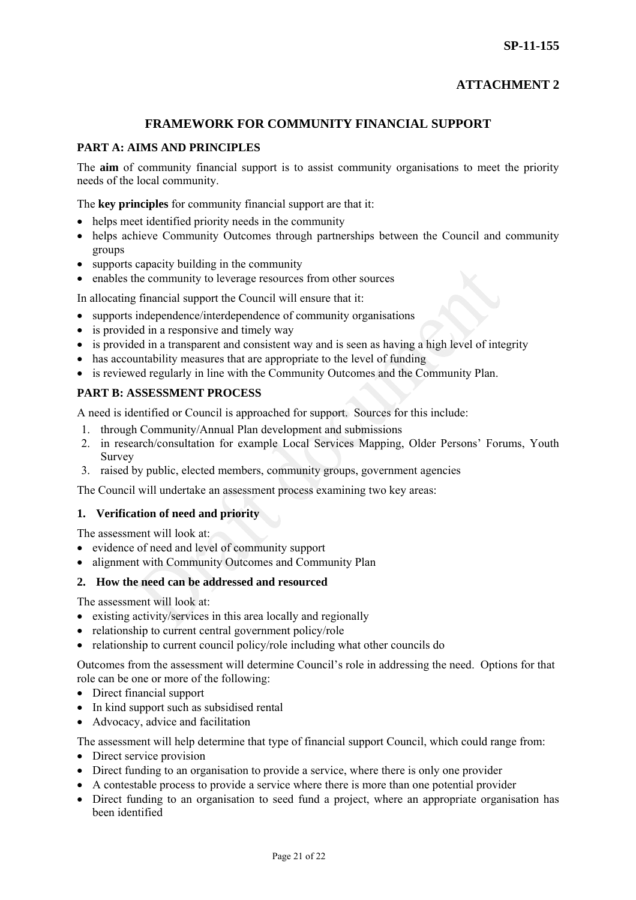# **ATTACHMENT 2**

#### **FRAMEWORK FOR COMMUNITY FINANCIAL SUPPORT**

#### **PART A: AIMS AND PRINCIPLES**

The **aim** of community financial support is to assist community organisations to meet the priority needs of the local community.

The **key principles** for community financial support are that it:

- helps meet identified priority needs in the community
- helps achieve Community Outcomes through partnerships between the Council and community groups
- supports capacity building in the community
- enables the community to leverage resources from other sources

In allocating financial support the Council will ensure that it:

- supports independence/interdependence of community organisations
- is provided in a responsive and timely way
- is provided in a transparent and consistent way and is seen as having a high level of integrity
- has accountability measures that are appropriate to the level of funding
- is reviewed regularly in line with the Community Outcomes and the Community Plan.

#### **PART B: ASSESSMENT PROCESS**

A need is identified or Council is approached for support. Sources for this include:

- 1. through Community/Annual Plan development and submissions
- 2. in research/consultation for example Local Services Mapping, Older Persons' Forums, Youth Survey
- 3. raised by public, elected members, community groups, government agencies

The Council will undertake an assessment process examining two key areas:

#### **1. Verification of need and priority**

The assessment will look at:

- evidence of need and level of community support
- alignment with Community Outcomes and Community Plan

#### **2. How the need can be addressed and resourced**

The assessment will look at:

- existing activity/services in this area locally and regionally
- relationship to current central government policy/role
- relationship to current council policy/role including what other councils do

Outcomes from the assessment will determine Council's role in addressing the need. Options for that role can be one or more of the following:

- Direct financial support
- In kind support such as subsidised rental
- Advocacy, advice and facilitation

The assessment will help determine that type of financial support Council, which could range from:

- Direct service provision
- Direct funding to an organisation to provide a service, where there is only one provider
- A contestable process to provide a service where there is more than one potential provider
- Direct funding to an organisation to seed fund a project, where an appropriate organisation has been identified